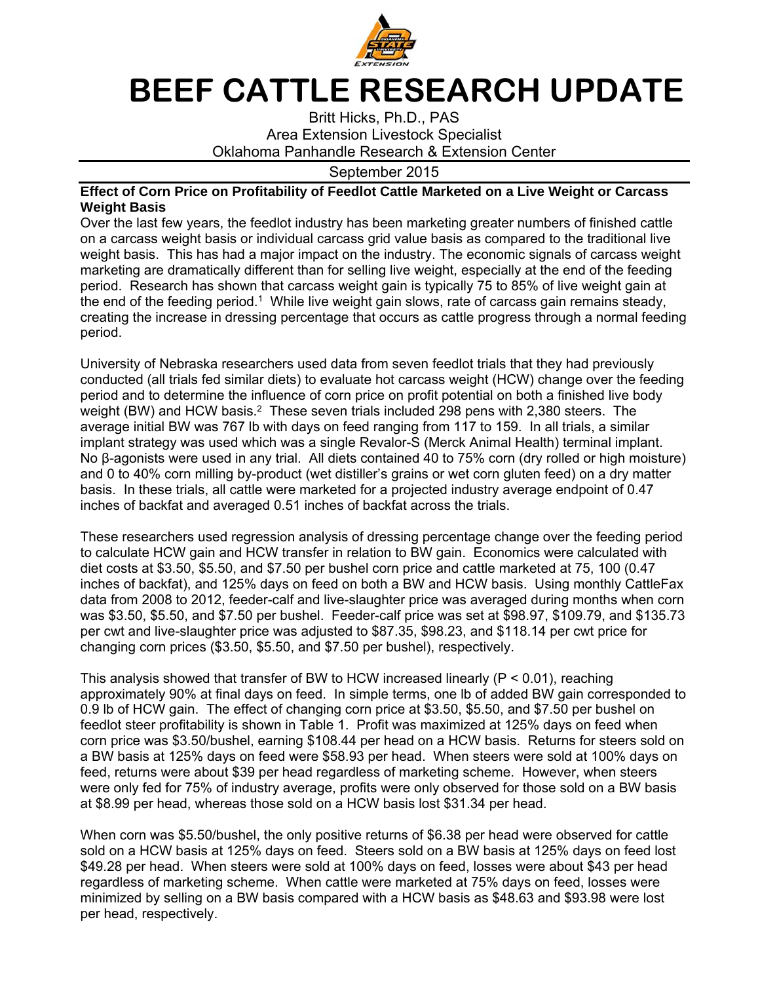

## **BEEF CATTLE RESEARCH UPDATE**

Britt Hicks, Ph.D., PAS Area Extension Livestock Specialist Oklahoma Panhandle Research & Extension Center

September 2015

## **Effect of Corn Price on Profitability of Feedlot Cattle Marketed on a Live Weight or Carcass Weight Basis**

Over the last few years, the feedlot industry has been marketing greater numbers of finished cattle on a carcass weight basis or individual carcass grid value basis as compared to the traditional live weight basis. This has had a major impact on the industry. The economic signals of carcass weight marketing are dramatically different than for selling live weight, especially at the end of the feeding period. Research has shown that carcass weight gain is typically 75 to 85% of live weight gain at the end of the feeding period.<sup>1</sup> While live weight gain slows, rate of carcass gain remains steady. creating the increase in dressing percentage that occurs as cattle progress through a normal feeding period.

University of Nebraska researchers used data from seven feedlot trials that they had previously conducted (all trials fed similar diets) to evaluate hot carcass weight (HCW) change over the feeding period and to determine the influence of corn price on profit potential on both a finished live body weight (BW) and HCW basis.<sup>2</sup> These seven trials included 298 pens with 2,380 steers. The average initial BW was 767 lb with days on feed ranging from 117 to 159. In all trials, a similar implant strategy was used which was a single Revalor-S (Merck Animal Health) terminal implant. No β-agonists were used in any trial. All diets contained 40 to 75% corn (dry rolled or high moisture) and 0 to 40% corn milling by-product (wet distiller's grains or wet corn gluten feed) on a dry matter basis. In these trials, all cattle were marketed for a projected industry average endpoint of 0.47 inches of backfat and averaged 0.51 inches of backfat across the trials.

These researchers used regression analysis of dressing percentage change over the feeding period to calculate HCW gain and HCW transfer in relation to BW gain. Economics were calculated with diet costs at \$3.50, \$5.50, and \$7.50 per bushel corn price and cattle marketed at 75, 100 (0.47 inches of backfat), and 125% days on feed on both a BW and HCW basis. Using monthly CattleFax data from 2008 to 2012, feeder-calf and live-slaughter price was averaged during months when corn was \$3.50, \$5.50, and \$7.50 per bushel. Feeder-calf price was set at \$98.97, \$109.79, and \$135.73 per cwt and live-slaughter price was adjusted to \$87.35, \$98.23, and \$118.14 per cwt price for changing corn prices (\$3.50, \$5.50, and \$7.50 per bushel), respectively.

This analysis showed that transfer of BW to HCW increased linearly (P < 0.01), reaching approximately 90% at final days on feed. In simple terms, one lb of added BW gain corresponded to 0.9 lb of HCW gain. The effect of changing corn price at \$3.50, \$5.50, and \$7.50 per bushel on feedlot steer profitability is shown in Table 1. Profit was maximized at 125% days on feed when corn price was \$3.50/bushel, earning \$108.44 per head on a HCW basis. Returns for steers sold on a BW basis at 125% days on feed were \$58.93 per head. When steers were sold at 100% days on feed, returns were about \$39 per head regardless of marketing scheme. However, when steers were only fed for 75% of industry average, profits were only observed for those sold on a BW basis at \$8.99 per head, whereas those sold on a HCW basis lost \$31.34 per head.

When corn was \$5.50/bushel, the only positive returns of \$6.38 per head were observed for cattle sold on a HCW basis at 125% days on feed. Steers sold on a BW basis at 125% days on feed lost \$49.28 per head. When steers were sold at 100% days on feed, losses were about \$43 per head regardless of marketing scheme. When cattle were marketed at 75% days on feed, losses were minimized by selling on a BW basis compared with a HCW basis as \$48.63 and \$93.98 were lost per head, respectively.